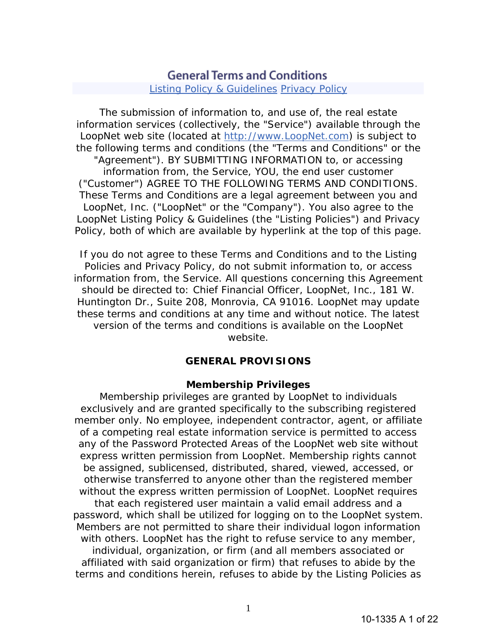# **General Terms and Conditions**

**Listing Policy & Guidelines Privacy Policy** 

The submission of information to, and use of, the real estate information services (collectively, the "Service") available through the LoopNet web site (located at http://www.LoopNet.com) is subject to the following terms and conditions (the "Terms and Conditions" or the "Agreement"). BY SUBMITTING INFORMATION to, or accessing information from, the Service, YOU, the end user customer ("Customer") AGREE TO THE FOLLOWING TERMS AND CONDITIONS. These Terms and Conditions are a legal agreement between you and LoopNet, Inc. ("LoopNet" or the "Company"). You also agree to the LoopNet Listing Policy & Guidelines (the "Listing Policies") and Privacy Policy, both of which are available by hyperlink at the top of this page.

If you do not agree to these Terms and Conditions and to the Listing Policies and Privacy Policy, do not submit information to, or access information from, the Service. All questions concerning this Agreement should be directed to: Chief Financial Officer, LoopNet, Inc., 181 W. Huntington Dr., Suite 208, Monrovia, CA 91016. LoopNet may update these terms and conditions at any time and without notice. The latest version of the terms and conditions is available on the LoopNet website.

# **GENERAL PROVISIONS**

# **Membership Privileges**

Membership privileges are granted by LoopNet to individuals exclusively and are granted specifically to the subscribing registered member only. No employee, independent contractor, agent, or affiliate of a competing real estate information service is permitted to access any of the Password Protected Areas of the LoopNet web site without express written permission from LoopNet. Membership rights cannot be assigned, sublicensed, distributed, shared, viewed, accessed, or otherwise transferred to anyone other than the registered member without the express written permission of LoopNet. LoopNet requires

that each registered user maintain a valid email address and a password, which shall be utilized for logging on to the LoopNet system. Members are not permitted to share their individual logon information with others. LoopNet has the right to refuse service to any member, individual, organization, or firm (and all members associated or affiliated with said organization or firm) that refuses to abide by the terms and conditions herein, refuses to abide by the Listing Policies as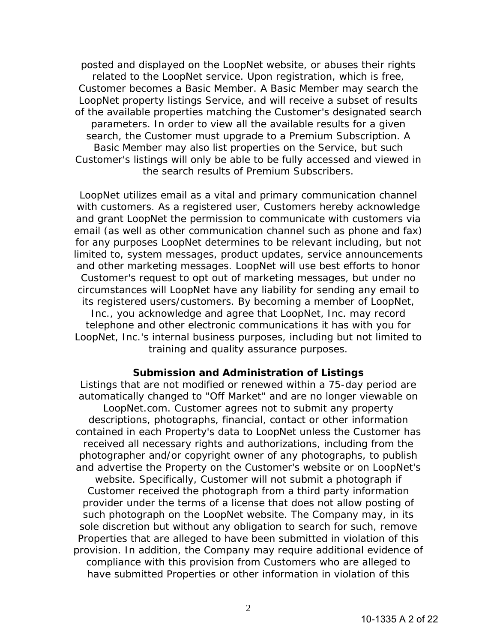posted and displayed on the LoopNet website, or abuses their rights related to the LoopNet service. Upon registration, which is free, Customer becomes a Basic Member. A Basic Member may search the LoopNet property listings Service, and will receive a subset of results of the available properties matching the Customer's designated search parameters. In order to view all the available results for a given search, the Customer must upgrade to a Premium Subscription. A Basic Member may also list properties on the Service, but such Customer's listings will only be able to be fully accessed and viewed in the search results of Premium Subscribers.

LoopNet utilizes email as a vital and primary communication channel with customers. As a registered user, Customers hereby acknowledge and grant LoopNet the permission to communicate with customers via email (as well as other communication channel such as phone and fax) for any purposes LoopNet determines to be relevant including, but not limited to, system messages, product updates, service announcements and other marketing messages. LoopNet will use best efforts to honor Customer's request to opt out of marketing messages, but under no circumstances will LoopNet have any liability for sending any email to its registered users/customers. By becoming a member of LoopNet, Inc., you acknowledge and agree that LoopNet, Inc. may record telephone and other electronic communications it has with you for LoopNet, Inc.'s internal business purposes, including but not limited to training and quality assurance purposes.

# **Submission and Administration of Listings**

Listings that are not modified or renewed within a 75-day period are automatically changed to "Off Market" and are no longer viewable on LoopNet.com. Customer agrees not to submit any property descriptions, photographs, financial, contact or other information contained in each Property's data to LoopNet unless the Customer has received all necessary rights and authorizations, including from the photographer and/or copyright owner of any photographs, to publish and advertise the Property on the Customer's website or on LoopNet's website. Specifically, Customer will not submit a photograph if Customer received the photograph from a third party information provider under the terms of a license that does not allow posting of such photograph on the LoopNet website. The Company may, in its sole discretion but without any obligation to search for such, remove Properties that are alleged to have been submitted in violation of this provision. In addition, the Company may require additional evidence of compliance with this provision from Customers who are alleged to have submitted Properties or other information in violation of this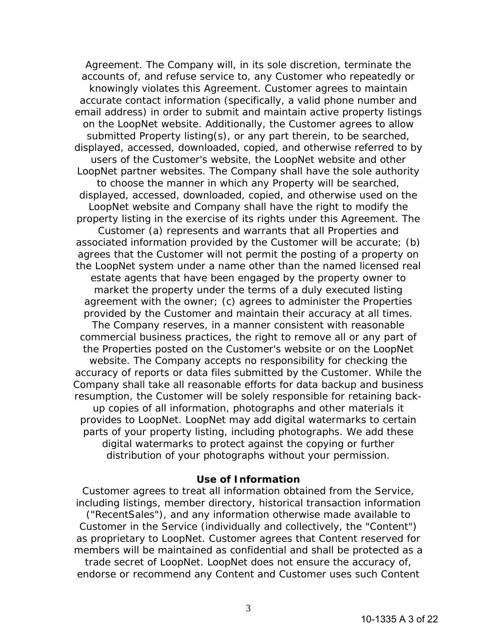Agreement. The Company will, in its sole discretion, terminate the accounts of, and refuse service to, any Customer who repeatedly or knowingly violates this Agreement. Customer agrees to maintain accurate contact information (specifically, a valid phone number and email address) in order to submit and maintain active property listings on the LoopNet website. Additionally, the Customer agrees to allow submitted Property listing(s), or any part therein, to be searched, displayed, accessed, downloaded, copied, and otherwise referred to by users of the Customer's website, the LoopNet website and other LoopNet partner websites. The Company shall have the sole authority to choose the manner in which any Property will be searched, displayed, accessed, downloaded, copied, and otherwise used on the LoopNet website and Company shall have the right to modify the property listing in the exercise of its rights under this Agreement. The Customer (a) represents and warrants that all Properties and associated information provided by the Customer will be accurate; (b) agrees that the Customer will not permit the posting of a property on the LoopNet system under a name other than the named licensed real estate agents that have been engaged by the property owner to market the property under the terms of a duly executed listing agreement with the owner; (c) agrees to administer the Properties provided by the Customer and maintain their accuracy at all times. The Company reserves, in a manner consistent with reasonable commercial business practices, the right to remove all or any part of the Properties posted on the Customer's website or on the LoopNet website. The Company accepts no responsibility for checking the accuracy of reports or data files submitted by the Customer. While the Company shall take all reasonable efforts for data backup and business resumption, the Customer will be solely responsible for retaining backup copies of all information, photographs and other materials it provides to LoopNet. LoopNet may add digital watermarks to certain parts of your property listing, including photographs. We add these digital watermarks to protect against the copying or further distribution of your photographs without your permission.

#### **Use of Information**

Customer agrees to treat all information obtained from the Service, including listings, member directory, historical transaction information ("RecentSales"), and any information otherwise made available to Customer in the Service (individually and collectively, the "Content") as proprietary to LoopNet. Customer agrees that Content reserved for members will be maintained as confidential and shall be protected as a trade secret of LoopNet. LoopNet does not ensure the accuracy of, endorse or recommend any Content and Customer uses such Content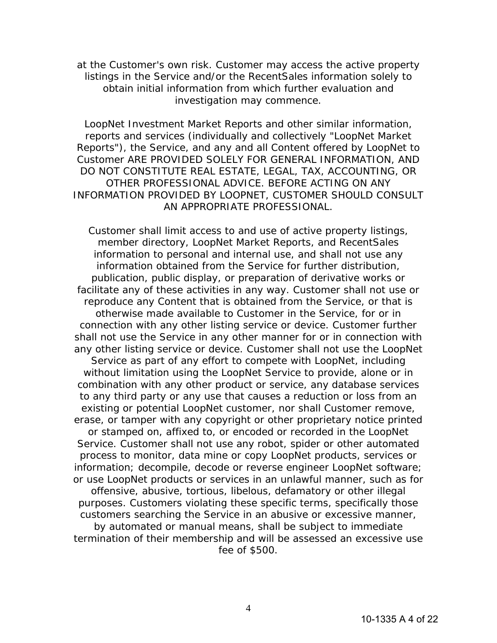at the Customer's own risk. Customer may access the active property listings in the Service and/or the RecentSales information solely to obtain initial information from which further evaluation and investigation may commence.

LoopNet Investment Market Reports and other similar information, reports and services (individually and collectively "LoopNet Market Reports"), the Service, and any and all Content offered by LoopNet to Customer ARE PROVIDED SOLELY FOR GENERAL INFORMATION, AND DO NOT CONSTITUTE REAL ESTATE, LEGAL, TAX, ACCOUNTING, OR OTHER PROFESSIONAL ADVICE. BEFORE ACTING ON ANY INFORMATION PROVIDED BY LOOPNET, CUSTOMER SHOULD CONSULT AN APPROPRIATE PROFESSIONAL.

Customer shall limit access to and use of active property listings, member directory, LoopNet Market Reports, and RecentSales information to personal and internal use, and shall not use any information obtained from the Service for further distribution, publication, public display, or preparation of derivative works or facilitate any of these activities in any way. Customer shall not use or reproduce any Content that is obtained from the Service, or that is otherwise made available to Customer in the Service, for or in connection with any other listing service or device. Customer further shall not use the Service in any other manner for or in connection with any other listing service or device. Customer shall not use the LoopNet Service as part of any effort to compete with LoopNet, including without limitation using the LoopNet Service to provide, alone or in combination with any other product or service, any database services to any third party or any use that causes a reduction or loss from an existing or potential LoopNet customer, nor shall Customer remove, erase, or tamper with any copyright or other proprietary notice printed or stamped on, affixed to, or encoded or recorded in the LoopNet Service. Customer shall not use any robot, spider or other automated process to monitor, data mine or copy LoopNet products, services or information; decompile, decode or reverse engineer LoopNet software; or use LoopNet products or services in an unlawful manner, such as for offensive, abusive, tortious, libelous, defamatory or other illegal purposes. Customers violating these specific terms, specifically those customers searching the Service in an abusive or excessive manner, by automated or manual means, shall be subject to immediate termination of their membership and will be assessed an excessive use fee of \$500.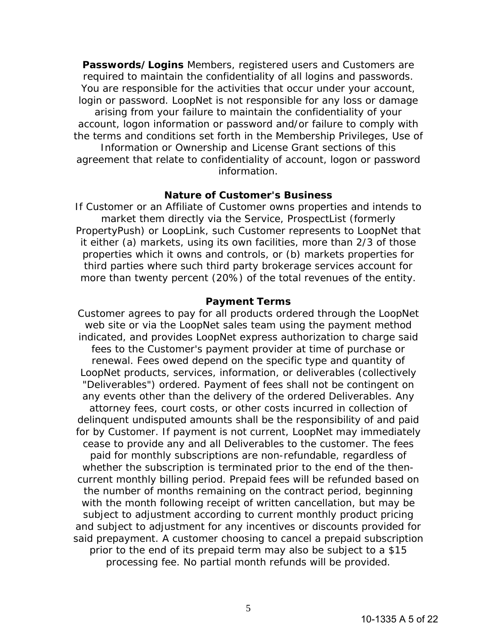**Passwords/Logins** Members, registered users and Customers are required to maintain the confidentiality of all logins and passwords. You are responsible for the activities that occur under your account, login or password. LoopNet is not responsible for any loss or damage arising from your failure to maintain the confidentiality of your account, logon information or password and/or failure to comply with the terms and conditions set forth in the Membership Privileges, Use of Information or Ownership and License Grant sections of this agreement that relate to confidentiality of account, logon or password information.

### **Nature of Customer's Business**

If Customer or an Affiliate of Customer owns properties and intends to market them directly via the Service, ProspectList (formerly PropertyPush) or LoopLink, such Customer represents to LoopNet that it either (a) markets, using its own facilities, more than 2/3 of those properties which it owns and controls, or (b) markets properties for third parties where such third party brokerage services account for more than twenty percent (20%) of the total revenues of the entity.

# **Payment Terms**

Customer agrees to pay for all products ordered through the LoopNet web site or via the LoopNet sales team using the payment method indicated, and provides LoopNet express authorization to charge said fees to the Customer's payment provider at time of purchase or renewal. Fees owed depend on the specific type and quantity of LoopNet products, services, information, or deliverables (collectively "Deliverables") ordered. Payment of fees shall not be contingent on any events other than the delivery of the ordered Deliverables. Any attorney fees, court costs, or other costs incurred in collection of delinquent undisputed amounts shall be the responsibility of and paid for by Customer. If payment is not current, LoopNet may immediately cease to provide any and all Deliverables to the customer. The fees paid for monthly subscriptions are non-refundable, regardless of whether the subscription is terminated prior to the end of the thencurrent monthly billing period. Prepaid fees will be refunded based on the number of months remaining on the contract period, beginning with the month following receipt of written cancellation, but may be subject to adjustment according to current monthly product pricing and subject to adjustment for any incentives or discounts provided for said prepayment. A customer choosing to cancel a prepaid subscription prior to the end of its prepaid term may also be subject to a \$15 processing fee. No partial month refunds will be provided.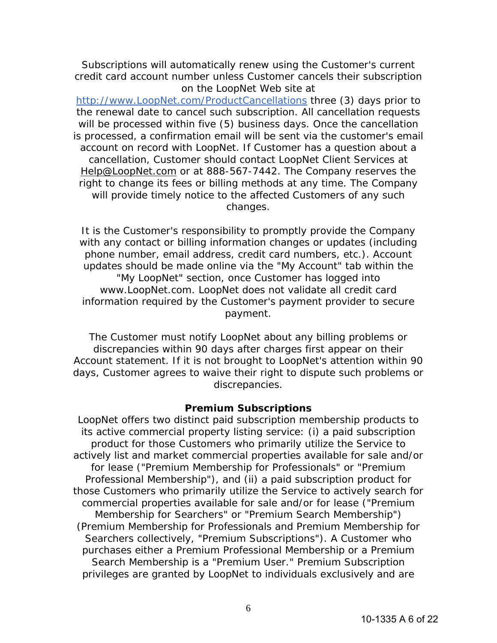Subscriptions will automatically renew using the Customer's current credit card account number unless Customer cancels their subscription on the LoopNet Web site at

http://www.LoopNet.com/ProductCancellations three (3) days prior to the renewal date to cancel such subscription. All cancellation requests will be processed within five (5) business days. Once the cancellation is processed, a confirmation email will be sent via the customer's email account on record with LoopNet. If Customer has a question about a cancellation, Customer should contact LoopNet Client Services at Help@LoopNet.com or at 888-567-7442. The Company reserves the right to change its fees or billing methods at any time. The Company will provide timely notice to the affected Customers of any such changes.

It is the Customer's responsibility to promptly provide the Company with any contact or billing information changes or updates (including phone number, email address, credit card numbers, etc.). Account updates should be made online via the "My Account" tab within the "My LoopNet" section, once Customer has logged into www.LoopNet.com. LoopNet does not validate all credit card information required by the Customer's payment provider to secure payment.

The Customer must notify LoopNet about any billing problems or discrepancies within 90 days after charges first appear on their Account statement. If it is not brought to LoopNet's attention within 90 days, Customer agrees to waive their right to dispute such problems or discrepancies.

### **Premium Subscriptions**

LoopNet offers two distinct paid subscription membership products to its active commercial property listing service: (i) a paid subscription product for those Customers who primarily utilize the Service to actively list and market commercial properties available for sale and/or for lease ("Premium Membership for Professionals" or "Premium Professional Membership"), and (ii) a paid subscription product for those Customers who primarily utilize the Service to actively search for commercial properties available for sale and/or for lease ("Premium Membership for Searchers" or "Premium Search Membership") (Premium Membership for Professionals and Premium Membership for Searchers collectively, "Premium Subscriptions"). A Customer who purchases either a Premium Professional Membership or a Premium Search Membership is a "Premium User." Premium Subscription privileges are granted by LoopNet to individuals exclusively and are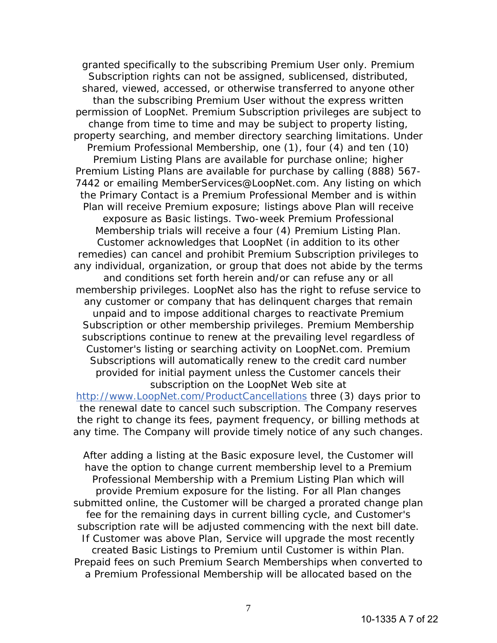granted specifically to the subscribing Premium User only. Premium Subscription rights can not be assigned, sublicensed, distributed, shared, viewed, accessed, or otherwise transferred to anyone other than the subscribing Premium User without the express written permission of LoopNet. Premium Subscription privileges are subject to change from time to time and may be subject to property listing, property searching, and member directory searching limitations. Under Premium Professional Membership, one (1), four (4) and ten (10) Premium Listing Plans are available for purchase online; higher Premium Listing Plans are available for purchase by calling (888) 567- 7442 or emailing MemberServices@LoopNet.com. Any listing on which the Primary Contact is a Premium Professional Member and is within Plan will receive Premium exposure; listings above Plan will receive exposure as Basic listings. Two-week Premium Professional Membership trials will receive a four (4) Premium Listing Plan. Customer acknowledges that LoopNet (in addition to its other remedies) can cancel and prohibit Premium Subscription privileges to any individual, organization, or group that does not abide by the terms and conditions set forth herein and/or can refuse any or all membership privileges. LoopNet also has the right to refuse service to any customer or company that has delinquent charges that remain unpaid and to impose additional charges to reactivate Premium Subscription or other membership privileges. Premium Membership subscriptions continue to renew at the prevailing level regardless of Customer's listing or searching activity on LoopNet.com. Premium Subscriptions will automatically renew to the credit card number provided for initial payment unless the Customer cancels their subscription on the LoopNet Web site at http://www.LoopNet.com/ProductCancellations three (3) days prior to

the renewal date to cancel such subscription. The Company reserves the right to change its fees, payment frequency, or billing methods at any time. The Company will provide timely notice of any such changes.

After adding a listing at the Basic exposure level, the Customer will have the option to change current membership level to a Premium Professional Membership with a Premium Listing Plan which will provide Premium exposure for the listing. For all Plan changes submitted online, the Customer will be charged a prorated change plan fee for the remaining days in current billing cycle, and Customer's subscription rate will be adjusted commencing with the next bill date. If Customer was above Plan, Service will upgrade the most recently created Basic Listings to Premium until Customer is within Plan. Prepaid fees on such Premium Search Memberships when converted to a Premium Professional Membership will be allocated based on the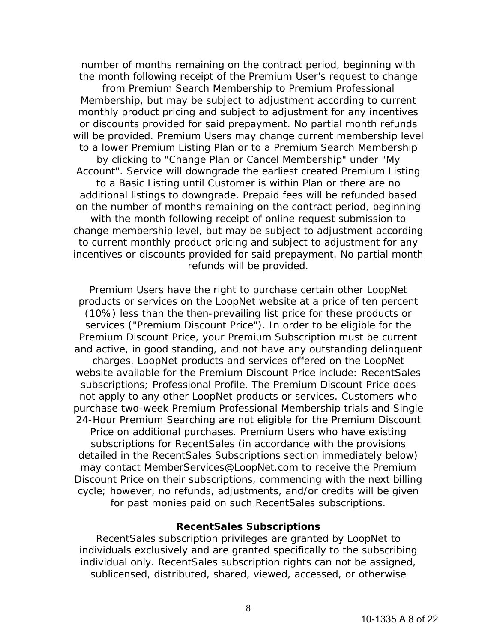number of months remaining on the contract period, beginning with the month following receipt of the Premium User's request to change

from Premium Search Membership to Premium Professional Membership, but may be subject to adjustment according to current monthly product pricing and subject to adjustment for any incentives or discounts provided for said prepayment. No partial month refunds will be provided. Premium Users may change current membership level to a lower Premium Listing Plan or to a Premium Search Membership by clicking to "Change Plan or Cancel Membership" under "My Account". Service will downgrade the earliest created Premium Listing to a Basic Listing until Customer is within Plan or there are no additional listings to downgrade. Prepaid fees will be refunded based on the number of months remaining on the contract period, beginning with the month following receipt of online request submission to change membership level, but may be subject to adjustment according to current monthly product pricing and subject to adjustment for any incentives or discounts provided for said prepayment. No partial month refunds will be provided.

Premium Users have the right to purchase certain other LoopNet products or services on the LoopNet website at a price of ten percent (10%) less than the then-prevailing list price for these products or services ("Premium Discount Price"). In order to be eligible for the Premium Discount Price, your Premium Subscription must be current and active, in good standing, and not have any outstanding delinquent charges. LoopNet products and services offered on the LoopNet website available for the Premium Discount Price include: RecentSales subscriptions; Professional Profile. The Premium Discount Price does not apply to any other LoopNet products or services. Customers who purchase two-week Premium Professional Membership trials and Single 24-Hour Premium Searching are not eligible for the Premium Discount Price on additional purchases. Premium Users who have existing subscriptions for RecentSales (in accordance with the provisions detailed in the RecentSales Subscriptions section immediately below) may contact MemberServices@LoopNet.com to receive the Premium Discount Price on their subscriptions, commencing with the next billing cycle; however, no refunds, adjustments, and/or credits will be given for past monies paid on such RecentSales subscriptions.

## **RecentSales Subscriptions**

RecentSales subscription privileges are granted by LoopNet to individuals exclusively and are granted specifically to the subscribing individual only. RecentSales subscription rights can not be assigned, sublicensed, distributed, shared, viewed, accessed, or otherwise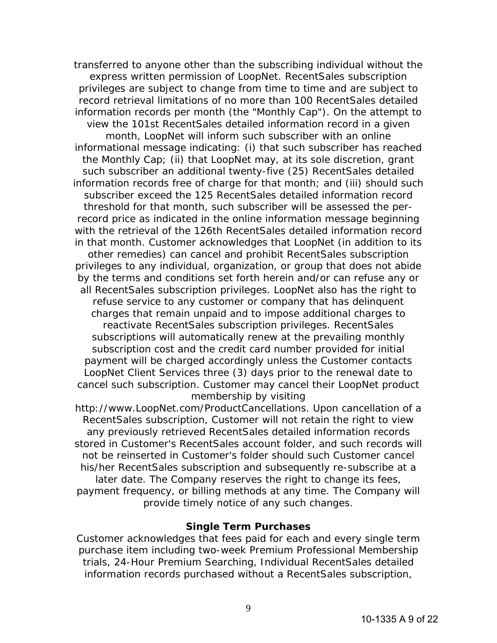transferred to anyone other than the subscribing individual without the express written permission of LoopNet. RecentSales subscription privileges are subject to change from time to time and are subject to record retrieval limitations of no more than 100 RecentSales detailed information records per month (the "Monthly Cap"). On the attempt to view the 101st RecentSales detailed information record in a given month, LoopNet will inform such subscriber with an online informational message indicating: (i) that such subscriber has reached the Monthly Cap; (ii) that LoopNet may, at its sole discretion, grant such subscriber an additional twenty-five (25) RecentSales detailed information records free of charge for that month; and (iii) should such subscriber exceed the 125 RecentSales detailed information record threshold for that month, such subscriber will be assessed the perrecord price as indicated in the online information message beginning with the retrieval of the 126th RecentSales detailed information record in that month. Customer acknowledges that LoopNet (in addition to its other remedies) can cancel and prohibit RecentSales subscription privileges to any individual, organization, or group that does not abide by the terms and conditions set forth herein and/or can refuse any or all RecentSales subscription privileges. LoopNet also has the right to refuse service to any customer or company that has delinquent charges that remain unpaid and to impose additional charges to reactivate RecentSales subscription privileges. RecentSales subscriptions will automatically renew at the prevailing monthly subscription cost and the credit card number provided for initial payment will be charged accordingly unless the Customer contacts LoopNet Client Services three (3) days prior to the renewal date to cancel such subscription. Customer may cancel their LoopNet product membership by visiting

http://www.LoopNet.com/ProductCancellations. Upon cancellation of a RecentSales subscription, Customer will not retain the right to view any previously retrieved RecentSales detailed information records stored in Customer's RecentSales account folder, and such records will not be reinserted in Customer's folder should such Customer cancel his/her RecentSales subscription and subsequently re-subscribe at a later date. The Company reserves the right to change its fees, payment frequency, or billing methods at any time. The Company will provide timely notice of any such changes.

### **Single Term Purchases**

Customer acknowledges that fees paid for each and every single term purchase item including two-week Premium Professional Membership trials, 24-Hour Premium Searching, Individual RecentSales detailed information records purchased without a RecentSales subscription,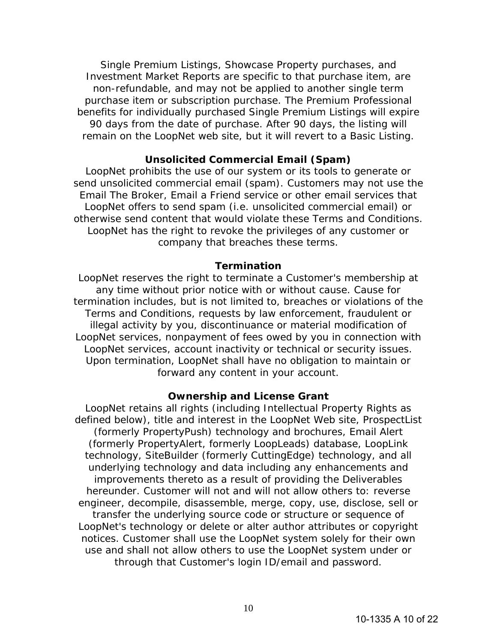Single Premium Listings, Showcase Property purchases, and Investment Market Reports are specific to that purchase item, are non-refundable, and may not be applied to another single term purchase item or subscription purchase. The Premium Professional benefits for individually purchased Single Premium Listings will expire 90 days from the date of purchase. After 90 days, the listing will remain on the LoopNet web site, but it will revert to a Basic Listing.

## **Unsolicited Commercial Email (Spam)**

LoopNet prohibits the use of our system or its tools to generate or send unsolicited commercial email (spam). Customers may not use the Email The Broker, Email a Friend service or other email services that LoopNet offers to send spam (i.e. unsolicited commercial email) or otherwise send content that would violate these Terms and Conditions. LoopNet has the right to revoke the privileges of any customer or company that breaches these terms.

#### **Termination**

LoopNet reserves the right to terminate a Customer's membership at any time without prior notice with or without cause. Cause for termination includes, but is not limited to, breaches or violations of the Terms and Conditions, requests by law enforcement, fraudulent or illegal activity by you, discontinuance or material modification of LoopNet services, nonpayment of fees owed by you in connection with LoopNet services, account inactivity or technical or security issues. Upon termination, LoopNet shall have no obligation to maintain or forward any content in your account.

### **Ownership and License Grant**

LoopNet retains all rights (including Intellectual Property Rights as defined below), title and interest in the LoopNet Web site, ProspectList (formerly PropertyPush) technology and brochures, Email Alert (formerly PropertyAlert, formerly LoopLeads) database, LoopLink technology, SiteBuilder (formerly CuttingEdge) technology, and all underlying technology and data including any enhancements and improvements thereto as a result of providing the Deliverables hereunder. Customer will not and will not allow others to: reverse engineer, decompile, disassemble, merge, copy, use, disclose, sell or transfer the underlying source code or structure or sequence of LoopNet's technology or delete or alter author attributes or copyright notices. Customer shall use the LoopNet system solely for their own use and shall not allow others to use the LoopNet system under or through that Customer's login ID/email and password.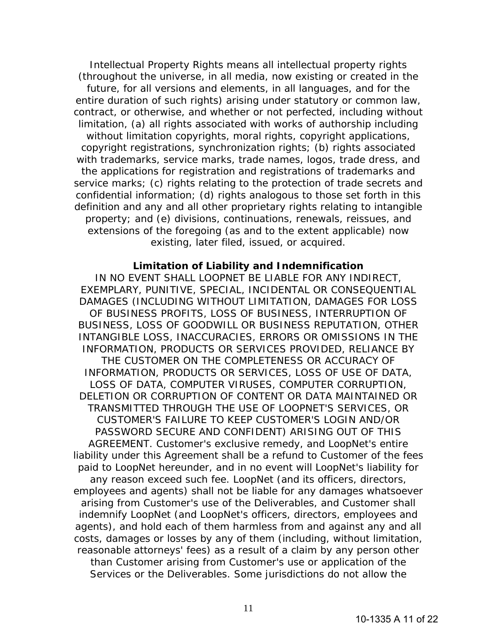Intellectual Property Rights means all intellectual property rights (throughout the universe, in all media, now existing or created in the future, for all versions and elements, in all languages, and for the entire duration of such rights) arising under statutory or common law, contract, or otherwise, and whether or not perfected, including without limitation, (a) all rights associated with works of authorship including without limitation copyrights, moral rights, copyright applications, copyright registrations, synchronization rights; (b) rights associated with trademarks, service marks, trade names, logos, trade dress, and the applications for registration and registrations of trademarks and service marks; (c) rights relating to the protection of trade secrets and confidential information; (d) rights analogous to those set forth in this definition and any and all other proprietary rights relating to intangible property; and (e) divisions, continuations, renewals, reissues, and extensions of the foregoing (as and to the extent applicable) now existing, later filed, issued, or acquired.

#### **Limitation of Liability and Indemnification**

IN NO EVENT SHALL LOOPNET BE LIABLE FOR ANY INDIRECT, EXEMPLARY, PUNITIVE, SPECIAL, INCIDENTAL OR CONSEQUENTIAL DAMAGES (INCLUDING WITHOUT LIMITATION, DAMAGES FOR LOSS OF BUSINESS PROFITS, LOSS OF BUSINESS, INTERRUPTION OF BUSINESS, LOSS OF GOODWILL OR BUSINESS REPUTATION, OTHER INTANGIBLE LOSS, INACCURACIES, ERRORS OR OMISSIONS IN THE INFORMATION, PRODUCTS OR SERVICES PROVIDED, RELIANCE BY THE CUSTOMER ON THE COMPLETENESS OR ACCURACY OF INFORMATION, PRODUCTS OR SERVICES, LOSS OF USE OF DATA, LOSS OF DATA, COMPUTER VIRUSES, COMPUTER CORRUPTION, DELETION OR CORRUPTION OF CONTENT OR DATA MAINTAINED OR TRANSMITTED THROUGH THE USE OF LOOPNET'S SERVICES, OR CUSTOMER'S FAILURE TO KEEP CUSTOMER'S LOGIN AND/OR PASSWORD SECURE AND CONFIDENT) ARISING OUT OF THIS AGREEMENT. Customer's exclusive remedy, and LoopNet's entire liability under this Agreement shall be a refund to Customer of the fees paid to LoopNet hereunder, and in no event will LoopNet's liability for any reason exceed such fee. LoopNet (and its officers, directors, employees and agents) shall not be liable for any damages whatsoever arising from Customer's use of the Deliverables, and Customer shall indemnify LoopNet (and LoopNet's officers, directors, employees and agents), and hold each of them harmless from and against any and all costs, damages or losses by any of them (including, without limitation, reasonable attorneys' fees) as a result of a claim by any person other than Customer arising from Customer's use or application of the Services or the Deliverables. Some jurisdictions do not allow the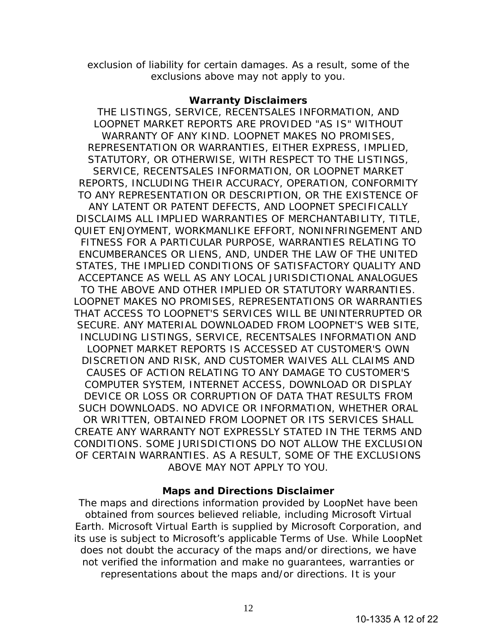exclusion of liability for certain damages. As a result, some of the exclusions above may not apply to you.

## **Warranty Disclaimers**

THE LISTINGS, SERVICE, RECENTSALES INFORMATION, AND LOOPNET MARKET REPORTS ARE PROVIDED "AS IS" WITHOUT WARRANTY OF ANY KIND. LOOPNET MAKES NO PROMISES, REPRESENTATION OR WARRANTIES, EITHER EXPRESS, IMPLIED, STATUTORY, OR OTHERWISE, WITH RESPECT TO THE LISTINGS, SERVICE, RECENTSALES INFORMATION, OR LOOPNET MARKET REPORTS, INCLUDING THEIR ACCURACY, OPERATION, CONFORMITY TO ANY REPRESENTATION OR DESCRIPTION, OR THE EXISTENCE OF ANY LATENT OR PATENT DEFECTS, AND LOOPNET SPECIFICALLY DISCLAIMS ALL IMPLIED WARRANTIES OF MERCHANTABILITY, TITLE, QUIET ENJOYMENT, WORKMANLIKE EFFORT, NONINFRINGEMENT AND FITNESS FOR A PARTICULAR PURPOSE, WARRANTIES RELATING TO ENCUMBERANCES OR LIENS, AND, UNDER THE LAW OF THE UNITED STATES, THE IMPLIED CONDITIONS OF SATISFACTORY QUALITY AND ACCEPTANCE AS WELL AS ANY LOCAL JURISDICTIONAL ANALOGUES TO THE ABOVE AND OTHER IMPLIED OR STATUTORY WARRANTIES. LOOPNET MAKES NO PROMISES, REPRESENTATIONS OR WARRANTIES THAT ACCESS TO LOOPNET'S SERVICES WILL BE UNINTERRUPTED OR SECURE. ANY MATERIAL DOWNLOADED FROM LOOPNET'S WEB SITE, INCLUDING LISTINGS, SERVICE, RECENTSALES INFORMATION AND LOOPNET MARKET REPORTS IS ACCESSED AT CUSTOMER'S OWN DISCRETION AND RISK, AND CUSTOMER WAIVES ALL CLAIMS AND CAUSES OF ACTION RELATING TO ANY DAMAGE TO CUSTOMER'S COMPUTER SYSTEM, INTERNET ACCESS, DOWNLOAD OR DISPLAY DEVICE OR LOSS OR CORRUPTION OF DATA THAT RESULTS FROM SUCH DOWNLOADS. NO ADVICE OR INFORMATION, WHETHER ORAL OR WRITTEN, OBTAINED FROM LOOPNET OR ITS SERVICES SHALL CREATE ANY WARRANTY NOT EXPRESSLY STATED IN THE TERMS AND CONDITIONS. SOME JURISDICTIONS DO NOT ALLOW THE EXCLUSION OF CERTAIN WARRANTIES. AS A RESULT, SOME OF THE EXCLUSIONS ABOVE MAY NOT APPLY TO YOU.

# **Maps and Directions Disclaimer**

The maps and directions information provided by LoopNet have been obtained from sources believed reliable, including Microsoft Virtual Earth. Microsoft Virtual Earth is supplied by Microsoft Corporation, and its use is subject to Microsoft's applicable Terms of Use. While LoopNet does not doubt the accuracy of the maps and/or directions, we have not verified the information and make no guarantees, warranties or representations about the maps and/or directions. It is your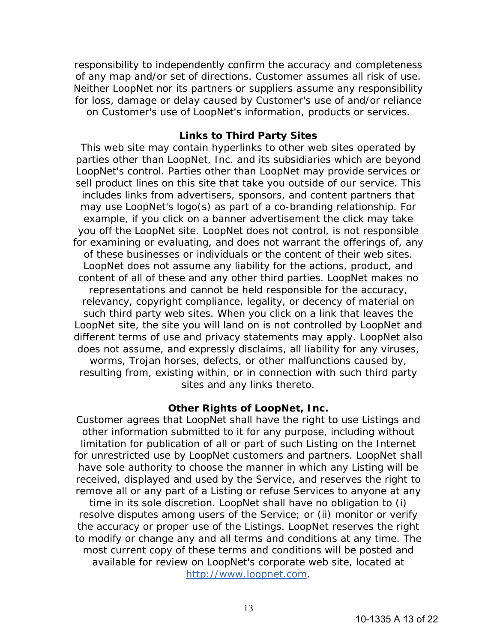responsibility to independently confirm the accuracy and completeness of any map and/or set of directions. Customer assumes all risk of use. Neither LoopNet nor its partners or suppliers assume any responsibility for loss, damage or delay caused by Customer's use of and/or reliance on Customer's use of LoopNet's information, products or services.

# **Links to Third Party Sites**

This web site may contain hyperlinks to other web sites operated by parties other than LoopNet, Inc. and its subsidiaries which are beyond LoopNet's control. Parties other than LoopNet may provide services or sell product lines on this site that take you outside of our service. This includes links from advertisers, sponsors, and content partners that may use LoopNet's logo(s) as part of a co-branding relationship. For example, if you click on a banner advertisement the click may take you off the LoopNet site. LoopNet does not control, is not responsible for examining or evaluating, and does not warrant the offerings of, any of these businesses or individuals or the content of their web sites. LoopNet does not assume any liability for the actions, product, and content of all of these and any other third parties. LoopNet makes no representations and cannot be held responsible for the accuracy, relevancy, copyright compliance, legality, or decency of material on such third party web sites. When you click on a link that leaves the LoopNet site, the site you will land on is not controlled by LoopNet and different terms of use and privacy statements may apply. LoopNet also does not assume, and expressly disclaims, all liability for any viruses, worms, Trojan horses, defects, or other malfunctions caused by, resulting from, existing within, or in connection with such third party sites and any links thereto.

# **Other Rights of LoopNet, Inc.**

Customer agrees that LoopNet shall have the right to use Listings and other information submitted to it for any purpose, including without limitation for publication of all or part of such Listing on the Internet for unrestricted use by LoopNet customers and partners. LoopNet shall have sole authority to choose the manner in which any Listing will be received, displayed and used by the Service, and reserves the right to remove all or any part of a Listing or refuse Services to anyone at any

time in its sole discretion. LoopNet shall have no obligation to (i) resolve disputes among users of the Service; or (ii) monitor or verify the accuracy or proper use of the Listings. LoopNet reserves the right to modify or change any and all terms and conditions at any time. The most current copy of these terms and conditions will be posted and available for review on LoopNet's corporate web site, located at http://www.loopnet.com.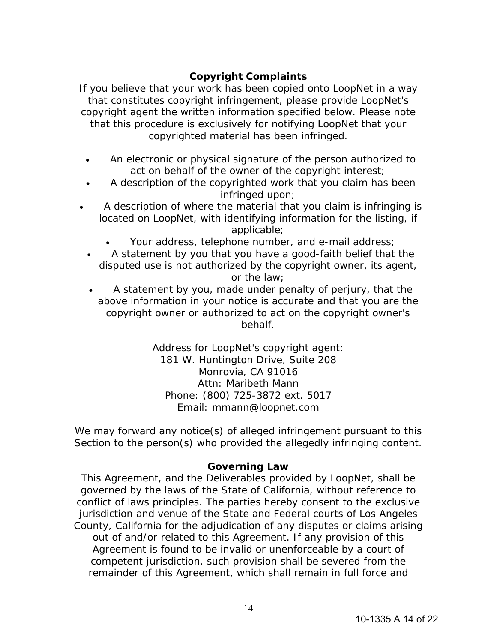# **Copyright Complaints**

If you believe that your work has been copied onto LoopNet in a way that constitutes copyright infringement, please provide LoopNet's copyright agent the written information specified below. Please note that this procedure is exclusively for notifying LoopNet that your copyrighted material has been infringed.

- An electronic or physical signature of the person authorized to act on behalf of the owner of the copyright interest;
- A description of the copyrighted work that you claim has been infringed upon;
- A description of where the material that you claim is infringing is located on LoopNet, with identifying information for the listing, if applicable;
	- Your address, telephone number, and e-mail address;
	- A statement by you that you have a good-faith belief that the disputed use is not authorized by the copyright owner, its agent, or the law;
	- A statement by you, made under penalty of perjury, that the above information in your notice is accurate and that you are the copyright owner or authorized to act on the copyright owner's behalf.

Address for LoopNet's copyright agent: 181 W. Huntington Drive, Suite 208 Monrovia, CA 91016 Attn: Maribeth Mann Phone: (800) 725-3872 ext. 5017 Email: mmann@loopnet.com

We may forward any notice(s) of alleged infringement pursuant to this Section to the person(s) who provided the allegedly infringing content.

# **Governing Law**

This Agreement, and the Deliverables provided by LoopNet, shall be governed by the laws of the State of California, without reference to conflict of laws principles. The parties hereby consent to the exclusive jurisdiction and venue of the State and Federal courts of Los Angeles County, California for the adjudication of any disputes or claims arising out of and/or related to this Agreement. If any provision of this Agreement is found to be invalid or unenforceable by a court of competent jurisdiction, such provision shall be severed from the remainder of this Agreement, which shall remain in full force and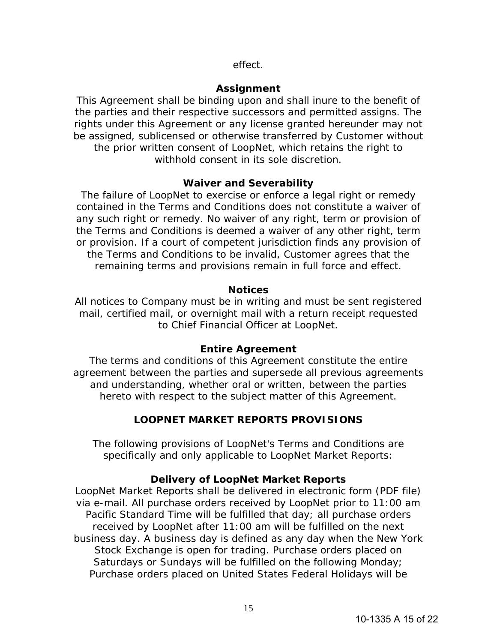# effect.

# **Assignment**

This Agreement shall be binding upon and shall inure to the benefit of the parties and their respective successors and permitted assigns. The rights under this Agreement or any license granted hereunder may not be assigned, sublicensed or otherwise transferred by Customer without the prior written consent of LoopNet, which retains the right to withhold consent in its sole discretion.

# **Waiver and Severability**

The failure of LoopNet to exercise or enforce a legal right or remedy contained in the Terms and Conditions does not constitute a waiver of any such right or remedy. No waiver of any right, term or provision of the Terms and Conditions is deemed a waiver of any other right, term or provision. If a court of competent jurisdiction finds any provision of the Terms and Conditions to be invalid, Customer agrees that the remaining terms and provisions remain in full force and effect.

# **Notices**

All notices to Company must be in writing and must be sent registered mail, certified mail, or overnight mail with a return receipt requested to Chief Financial Officer at LoopNet.

# **Entire Agreement**

The terms and conditions of this Agreement constitute the entire agreement between the parties and supersede all previous agreements and understanding, whether oral or written, between the parties hereto with respect to the subject matter of this Agreement.

# **LOOPNET MARKET REPORTS PROVISIONS**

The following provisions of LoopNet's Terms and Conditions are specifically and only applicable to LoopNet Market Reports:

# **Delivery of LoopNet Market Reports**

LoopNet Market Reports shall be delivered in electronic form (PDF file) via e-mail. All purchase orders received by LoopNet prior to 11:00 am Pacific Standard Time will be fulfilled that day; all purchase orders received by LoopNet after 11:00 am will be fulfilled on the next business day. A business day is defined as any day when the New York Stock Exchange is open for trading. Purchase orders placed on Saturdays or Sundays will be fulfilled on the following Monday; Purchase orders placed on United States Federal Holidays will be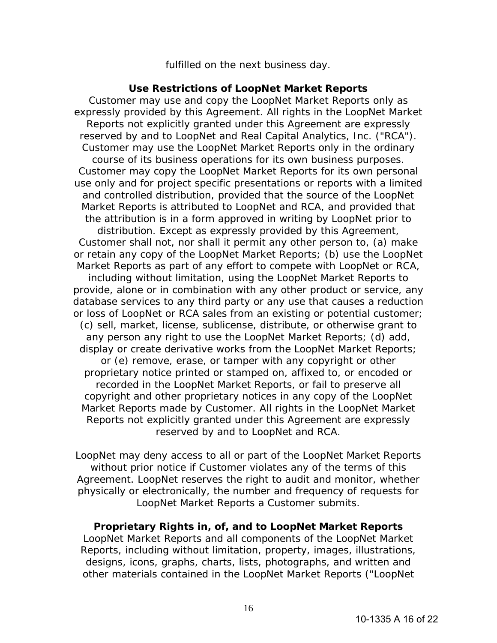fulfilled on the next business day.

## **Use Restrictions of LoopNet Market Reports**

Customer may use and copy the LoopNet Market Reports only as expressly provided by this Agreement. All rights in the LoopNet Market Reports not explicitly granted under this Agreement are expressly reserved by and to LoopNet and Real Capital Analytics, Inc. ("RCA"). Customer may use the LoopNet Market Reports only in the ordinary course of its business operations for its own business purposes. Customer may copy the LoopNet Market Reports for its own personal use only and for project specific presentations or reports with a limited and controlled distribution, provided that the source of the LoopNet Market Reports is attributed to LoopNet and RCA, and provided that the attribution is in a form approved in writing by LoopNet prior to distribution. Except as expressly provided by this Agreement, Customer shall not, nor shall it permit any other person to, (a) make or retain any copy of the LoopNet Market Reports; (b) use the LoopNet Market Reports as part of any effort to compete with LoopNet or RCA, including without limitation, using the LoopNet Market Reports to provide, alone or in combination with any other product or service, any database services to any third party or any use that causes a reduction or loss of LoopNet or RCA sales from an existing or potential customer; (c) sell, market, license, sublicense, distribute, or otherwise grant to any person any right to use the LoopNet Market Reports; (d) add, display or create derivative works from the LoopNet Market Reports; or (e) remove, erase, or tamper with any copyright or other proprietary notice printed or stamped on, affixed to, or encoded or recorded in the LoopNet Market Reports, or fail to preserve all copyright and other proprietary notices in any copy of the LoopNet Market Reports made by Customer. All rights in the LoopNet Market Reports not explicitly granted under this Agreement are expressly reserved by and to LoopNet and RCA.

LoopNet may deny access to all or part of the LoopNet Market Reports without prior notice if Customer violates any of the terms of this Agreement. LoopNet reserves the right to audit and monitor, whether physically or electronically, the number and frequency of requests for LoopNet Market Reports a Customer submits.

# **Proprietary Rights in, of, and to LoopNet Market Reports**

LoopNet Market Reports and all components of the LoopNet Market Reports, including without limitation, property, images, illustrations, designs, icons, graphs, charts, lists, photographs, and written and other materials contained in the LoopNet Market Reports ("LoopNet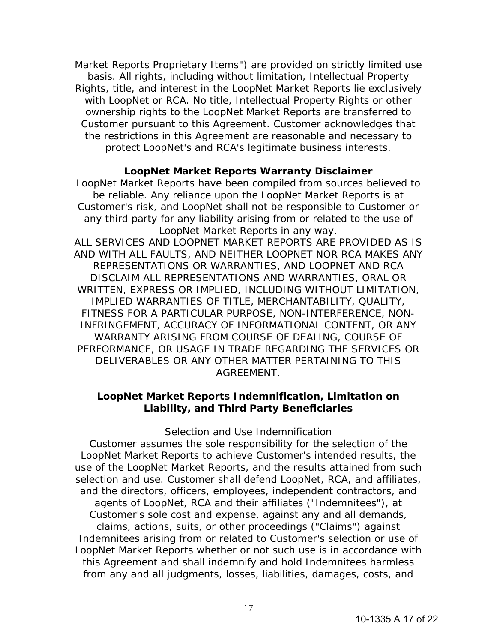Market Reports Proprietary Items") are provided on strictly limited use basis. All rights, including without limitation, Intellectual Property Rights, title, and interest in the LoopNet Market Reports lie exclusively with LoopNet or RCA. No title, Intellectual Property Rights or other ownership rights to the LoopNet Market Reports are transferred to Customer pursuant to this Agreement. Customer acknowledges that the restrictions in this Agreement are reasonable and necessary to protect LoopNet's and RCA's legitimate business interests.

# **LoopNet Market Reports Warranty Disclaimer**

LoopNet Market Reports have been compiled from sources believed to be reliable. Any reliance upon the LoopNet Market Reports is at Customer's risk, and LoopNet shall not be responsible to Customer or any third party for any liability arising from or related to the use of LoopNet Market Reports in any way. ALL SERVICES AND LOOPNET MARKET REPORTS ARE PROVIDED AS IS AND WITH ALL FAULTS, AND NEITHER LOOPNET NOR RCA MAKES ANY REPRESENTATIONS OR WARRANTIES, AND LOOPNET AND RCA DISCLAIM ALL REPRESENTATIONS AND WARRANTIES, ORAL OR WRITTEN, EXPRESS OR IMPLIED, INCLUDING WITHOUT LIMITATION, IMPLIED WARRANTIES OF TITLE, MERCHANTABILITY, QUALITY, FITNESS FOR A PARTICULAR PURPOSE, NON-INTERFERENCE, NON-INFRINGEMENT, ACCURACY OF INFORMATIONAL CONTENT, OR ANY WARRANTY ARISING FROM COURSE OF DEALING, COURSE OF PERFORMANCE, OR USAGE IN TRADE REGARDING THE SERVICES OR DELIVERABLES OR ANY OTHER MATTER PERTAINING TO THIS AGREEMENT.

# **LoopNet Market Reports Indemnification, Limitation on Liability, and Third Party Beneficiaries**

### *Selection and Use Indemnification*

Customer assumes the sole responsibility for the selection of the LoopNet Market Reports to achieve Customer's intended results, the use of the LoopNet Market Reports, and the results attained from such selection and use. Customer shall defend LoopNet, RCA, and affiliates, and the directors, officers, employees, independent contractors, and agents of LoopNet, RCA and their affiliates ("Indemnitees"), at Customer's sole cost and expense, against any and all demands, claims, actions, suits, or other proceedings ("Claims") against Indemnitees arising from or related to Customer's selection or use of LoopNet Market Reports whether or not such use is in accordance with this Agreement and shall indemnify and hold Indemnitees harmless from any and all judgments, losses, liabilities, damages, costs, and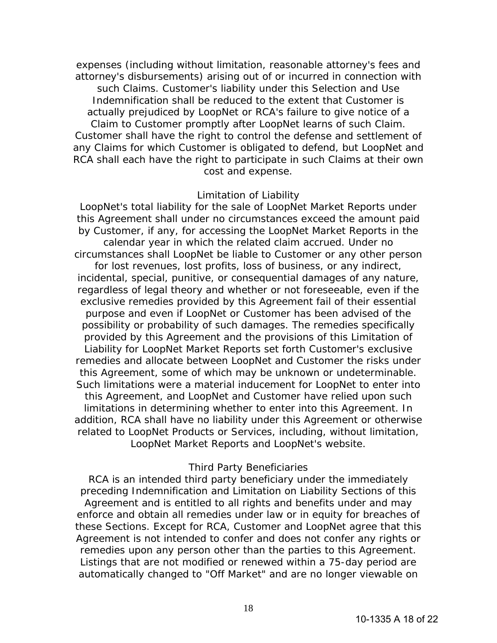expenses (including without limitation, reasonable attorney's fees and attorney's disbursements) arising out of or incurred in connection with such Claims. Customer's liability under this Selection and Use Indemnification shall be reduced to the extent that Customer is actually prejudiced by LoopNet or RCA's failure to give notice of a Claim to Customer promptly after LoopNet learns of such Claim. Customer shall have the right to control the defense and settlement of any Claims for which Customer is obligated to defend, but LoopNet and RCA shall each have the right to participate in such Claims at their own cost and expense.

### *Limitation of Liability*

LoopNet's total liability for the sale of LoopNet Market Reports under this Agreement shall under no circumstances exceed the amount paid by Customer, if any, for accessing the LoopNet Market Reports in the calendar year in which the related claim accrued. Under no circumstances shall LoopNet be liable to Customer or any other person for lost revenues, lost profits, loss of business, or any indirect, incidental, special, punitive, or consequential damages of any nature, regardless of legal theory and whether or not foreseeable, even if the exclusive remedies provided by this Agreement fail of their essential purpose and even if LoopNet or Customer has been advised of the possibility or probability of such damages. The remedies specifically provided by this Agreement and the provisions of this Limitation of Liability for LoopNet Market Reports set forth Customer's exclusive remedies and allocate between LoopNet and Customer the risks under this Agreement, some of which may be unknown or undeterminable. Such limitations were a material inducement for LoopNet to enter into this Agreement, and LoopNet and Customer have relied upon such limitations in determining whether to enter into this Agreement. In addition, RCA shall have no liability under this Agreement or otherwise related to LoopNet Products or Services, including, without limitation, LoopNet Market Reports and LoopNet's website.

### *Third Party Beneficiaries*

RCA is an intended third party beneficiary under the immediately preceding Indemnification and Limitation on Liability Sections of this Agreement and is entitled to all rights and benefits under and may enforce and obtain all remedies under law or in equity for breaches of these Sections. Except for RCA, Customer and LoopNet agree that this Agreement is not intended to confer and does not confer any rights or remedies upon any person other than the parties to this Agreement. Listings that are not modified or renewed within a 75-day period are automatically changed to "Off Market" and are no longer viewable on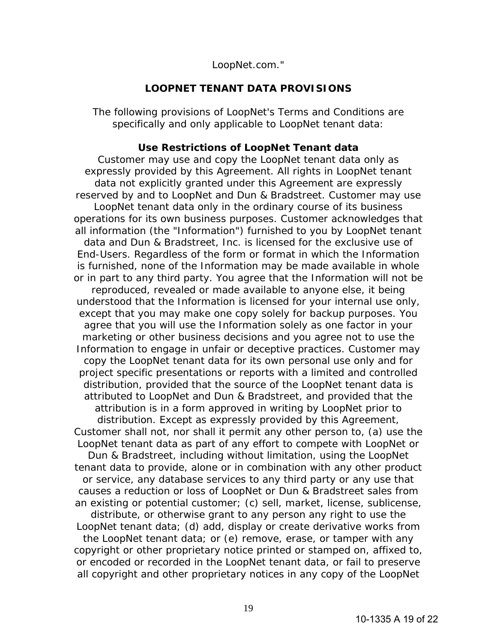LoopNet.com."

### **LOOPNET TENANT DATA PROVISIONS**

The following provisions of LoopNet's Terms and Conditions are specifically and only applicable to LoopNet tenant data:

### **Use Restrictions of LoopNet Tenant data**

Customer may use and copy the LoopNet tenant data only as expressly provided by this Agreement. All rights in LoopNet tenant data not explicitly granted under this Agreement are expressly reserved by and to LoopNet and Dun & Bradstreet. Customer may use LoopNet tenant data only in the ordinary course of its business operations for its own business purposes. Customer acknowledges that all information (the "Information") furnished to you by LoopNet tenant data and Dun & Bradstreet, Inc. is licensed for the exclusive use of End-Users. Regardless of the form or format in which the Information is furnished, none of the Information may be made available in whole or in part to any third party. You agree that the Information will not be reproduced, revealed or made available to anyone else, it being understood that the Information is licensed for your internal use only, except that you may make one copy solely for backup purposes. You agree that you will use the Information solely as one factor in your marketing or other business decisions and you agree not to use the Information to engage in unfair or deceptive practices. Customer may copy the LoopNet tenant data for its own personal use only and for project specific presentations or reports with a limited and controlled distribution, provided that the source of the LoopNet tenant data is attributed to LoopNet and Dun & Bradstreet, and provided that the attribution is in a form approved in writing by LoopNet prior to distribution. Except as expressly provided by this Agreement, Customer shall not, nor shall it permit any other person to, (a) use the LoopNet tenant data as part of any effort to compete with LoopNet or Dun & Bradstreet, including without limitation, using the LoopNet tenant data to provide, alone or in combination with any other product or service, any database services to any third party or any use that causes a reduction or loss of LoopNet or Dun & Bradstreet sales from an existing or potential customer; (c) sell, market, license, sublicense, distribute, or otherwise grant to any person any right to use the LoopNet tenant data; (d) add, display or create derivative works from the LoopNet tenant data; or (e) remove, erase, or tamper with any copyright or other proprietary notice printed or stamped on, affixed to, or encoded or recorded in the LoopNet tenant data, or fail to preserve all copyright and other proprietary notices in any copy of the LoopNet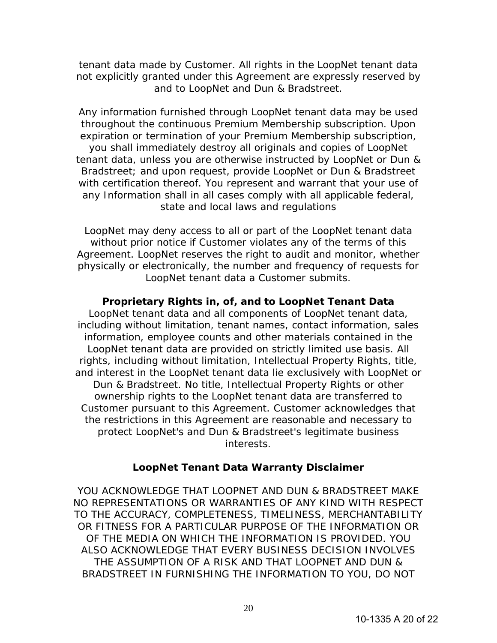tenant data made by Customer. All rights in the LoopNet tenant data not explicitly granted under this Agreement are expressly reserved by and to LoopNet and Dun & Bradstreet.

Any information furnished through LoopNet tenant data may be used throughout the continuous Premium Membership subscription. Upon expiration or termination of your Premium Membership subscription, you shall immediately destroy all originals and copies of LoopNet tenant data, unless you are otherwise instructed by LoopNet or Dun & Bradstreet; and upon request, provide LoopNet or Dun & Bradstreet with certification thereof. You represent and warrant that your use of any Information shall in all cases comply with all applicable federal, state and local laws and regulations

LoopNet may deny access to all or part of the LoopNet tenant data without prior notice if Customer violates any of the terms of this Agreement. LoopNet reserves the right to audit and monitor, whether physically or electronically, the number and frequency of requests for LoopNet tenant data a Customer submits.

# **Proprietary Rights in, of, and to LoopNet Tenant Data**

LoopNet tenant data and all components of LoopNet tenant data, including without limitation, tenant names, contact information, sales information, employee counts and other materials contained in the LoopNet tenant data are provided on strictly limited use basis. All rights, including without limitation, Intellectual Property Rights, title, and interest in the LoopNet tenant data lie exclusively with LoopNet or Dun & Bradstreet. No title, Intellectual Property Rights or other ownership rights to the LoopNet tenant data are transferred to Customer pursuant to this Agreement. Customer acknowledges that the restrictions in this Agreement are reasonable and necessary to protect LoopNet's and Dun & Bradstreet's legitimate business interests.

# **LoopNet Tenant Data Warranty Disclaimer**

YOU ACKNOWLEDGE THAT LOOPNET AND DUN & BRADSTREET MAKE NO REPRESENTATIONS OR WARRANTIES OF ANY KIND WITH RESPECT TO THE ACCURACY, COMPLETENESS, TIMELINESS, MERCHANTABILITY OR FITNESS FOR A PARTICULAR PURPOSE OF THE INFORMATION OR OF THE MEDIA ON WHICH THE INFORMATION IS PROVIDED. YOU ALSO ACKNOWLEDGE THAT EVERY BUSINESS DECISION INVOLVES THE ASSUMPTION OF A RISK AND THAT LOOPNET AND DUN & BRADSTREET IN FURNISHING THE INFORMATION TO YOU, DO NOT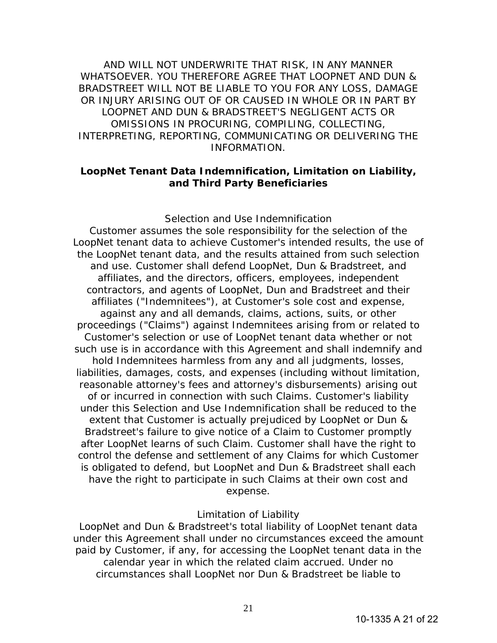AND WILL NOT UNDERWRITE THAT RISK, IN ANY MANNER WHATSOEVER. YOU THEREFORE AGREE THAT LOOPNET AND DUN & BRADSTREET WILL NOT BE LIABLE TO YOU FOR ANY LOSS, DAMAGE OR INJURY ARISING OUT OF OR CAUSED IN WHOLE OR IN PART BY LOOPNET AND DUN & BRADSTREET'S NEGLIGENT ACTS OR OMISSIONS IN PROCURING, COMPILING, COLLECTING, INTERPRETING, REPORTING, COMMUNICATING OR DELIVERING THE INFORMATION.

# **LoopNet Tenant Data Indemnification, Limitation on Liability, and Third Party Beneficiaries**

#### *Selection and Use Indemnification*

Customer assumes the sole responsibility for the selection of the LoopNet tenant data to achieve Customer's intended results, the use of the LoopNet tenant data, and the results attained from such selection and use. Customer shall defend LoopNet, Dun & Bradstreet, and affiliates, and the directors, officers, employees, independent contractors, and agents of LoopNet, Dun and Bradstreet and their affiliates ("Indemnitees"), at Customer's sole cost and expense, against any and all demands, claims, actions, suits, or other proceedings ("Claims") against Indemnitees arising from or related to Customer's selection or use of LoopNet tenant data whether or not such use is in accordance with this Agreement and shall indemnify and hold Indemnitees harmless from any and all judgments, losses, liabilities, damages, costs, and expenses (including without limitation, reasonable attorney's fees and attorney's disbursements) arising out of or incurred in connection with such Claims. Customer's liability under this Selection and Use Indemnification shall be reduced to the extent that Customer is actually prejudiced by LoopNet or Dun & Bradstreet's failure to give notice of a Claim to Customer promptly after LoopNet learns of such Claim. Customer shall have the right to control the defense and settlement of any Claims for which Customer is obligated to defend, but LoopNet and Dun & Bradstreet shall each have the right to participate in such Claims at their own cost and expense.

### *Limitation of Liability*

LoopNet and Dun & Bradstreet's total liability of LoopNet tenant data under this Agreement shall under no circumstances exceed the amount paid by Customer, if any, for accessing the LoopNet tenant data in the calendar year in which the related claim accrued. Under no circumstances shall LoopNet nor Dun & Bradstreet be liable to